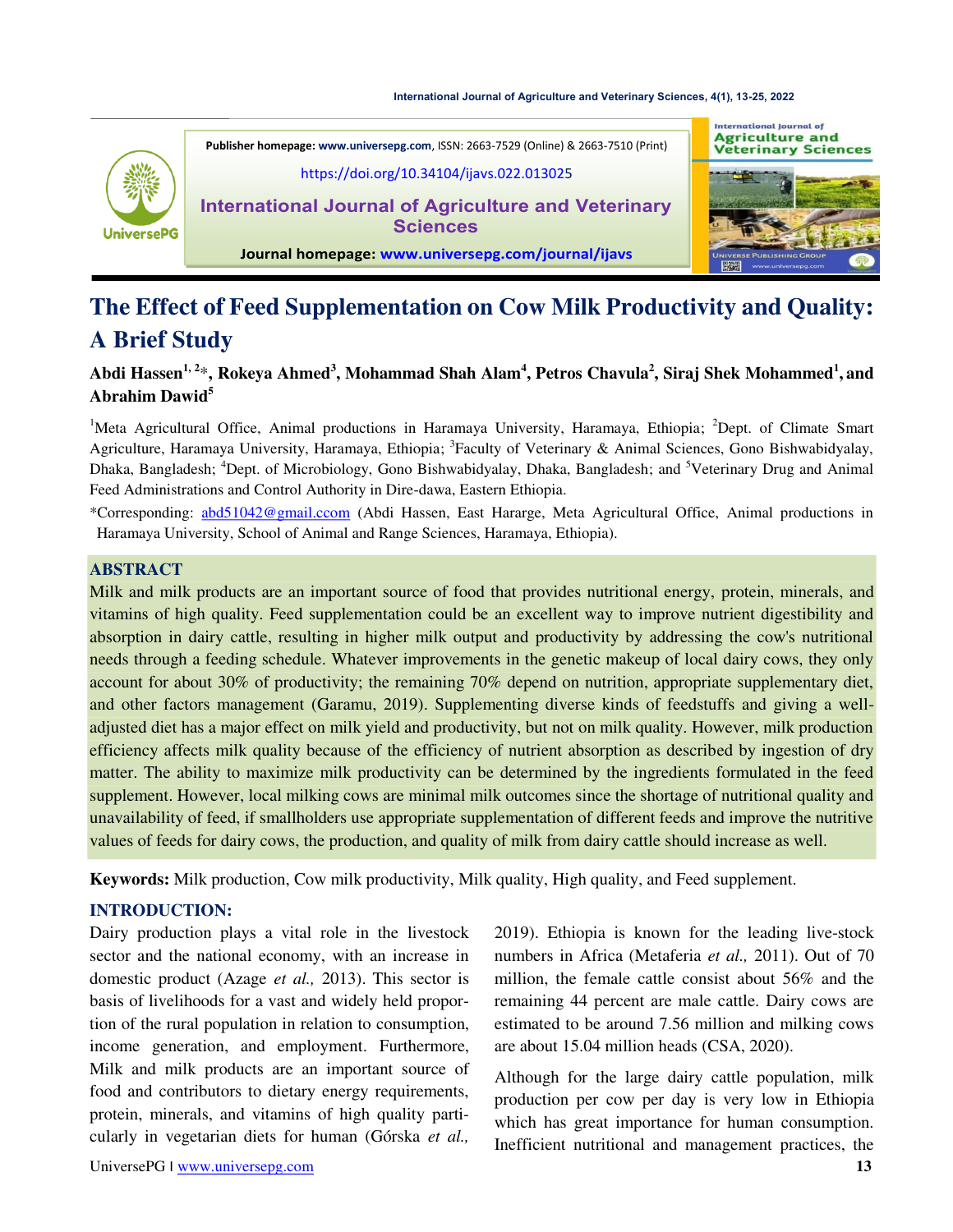#### **[International Journal of Agriculture and Veterinary Sciences, 4\(1\), 13-25, 2022](https://doi.org/10.34104/ijavs.022.013025)**





#### **Journal homepage: [www.universepg.com/journal/ijavs](http://www.universepg.com/journal/ijavs)**

# The Effect of Feed Supplementation on Cow Milk Productivity and Quality: **A Brief Study**

# **Abdi Hassen1, 2**\***, Rokeya Ahmed<sup>3</sup> , Mohammad Shah Alam<sup>4</sup> , Petros Chavula<sup>2</sup> , Siraj Shek Mohammed<sup>1</sup> , and Abrahim Dawid<sup>5</sup>**

<sup>1</sup>Meta Agricultural Office, Animal productions in Haramaya University, Haramaya, Ethiopia; <sup>2</sup>Dept. of Climate Smart Agriculture, Haramaya University, Haramaya, Ethiopia; <sup>3</sup>Faculty of Veterinary & Animal Sciences, Gono Bishwabidyalay, Dhaka, Bangladesh; <sup>4</sup>Dept. of Microbiology, Gono Bishwabidyalay, Dhaka, Bangladesh; and <sup>5</sup>Veterinary Drug and Animal Feed Administrations and Control Authority in Dire-dawa, Eastern Ethiopia.

\*Corresponding: [abd51042@gmail.ccom](mailto:abd51042@gmail.ccom) (Abdi Hassen, East Hararge, Meta Agricultural Office, Animal productions in Haramaya University, School of Animal and Range Sciences, Haramaya, Ethiopia).

## **ABSTRACT**

Milk and milk products are an important source of food that provides nutritional energy, protein, minerals, and vitamins of high quality. Feed supplementation could be an excellent way to improve nutrient digestibility and absorption in dairy cattle, resulting in higher milk output and productivity by addressing the cow's nutritional needs through a feeding schedule. Whatever improvements in the genetic makeup of local dairy cows, they only account for about 30% of productivity; the remaining 70% depend on nutrition, appropriate supplementary diet, and other factors management (Garamu, 2019). Supplementing diverse kinds of feedstuffs and giving a welladjusted diet has a major effect on milk yield and productivity, but not on milk quality. However, milk production efficiency affects milk quality because of the efficiency of nutrient absorption as described by ingestion of dry matter. The ability to maximize milk productivity can be determined by the ingredients formulated in the feed supplement. However, local milking cows are minimal milk outcomes since the shortage of nutritional quality and unavailability of feed, if smallholders use appropriate supplementation of different feeds and improve the nutritive values of feeds for dairy cows, the production, and quality of milk from dairy cattle should increase as well.

**Keywords:** Milk production, Cow milk productivity, Milk quality, High quality, and Feed supplement.

## **INTRODUCTION:**

Dairy production plays a vital role in the livestock sector and the national economy, with an increase in domestic product (Azage *et al.,* 2013). This sector is basis of livelihoods for a vast and widely held proportion of the rural population in relation to consumption, income generation, and employment. Furthermore, Milk and milk products are an important source of food and contributors to dietary energy requirements, protein, minerals, and vitamins of high quality particularly in vegetarian diets for human (Górska *et al.,*

2019). Ethiopia is known for the leading live-stock numbers in Africa (Metaferia *et al.,* 2011). Out of 70 million, the female cattle consist about 56% and the remaining 44 percent are male cattle. Dairy cows are estimated to be around 7.56 million and milking cows are about 15.04 million heads (CSA, 2020).

Although for the large dairy cattle population, milk production per cow per day is very low in Ethiopia which has great importance for human consumption. Inefficient nutritional and management practices, the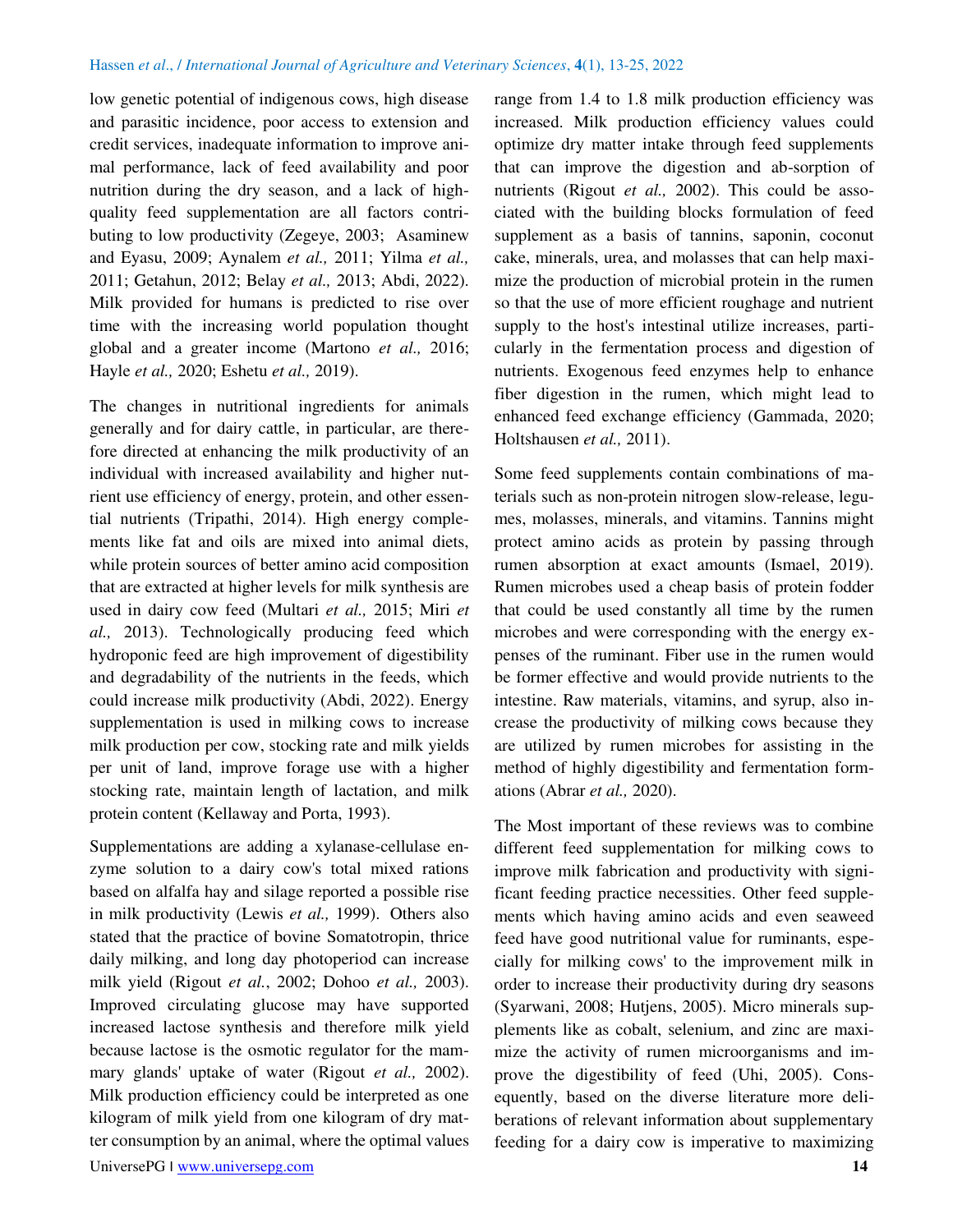low genetic potential of indigenous cows, high disease and parasitic incidence, poor access to extension and credit services, inadequate information to improve animal performance, lack of feed availability and poor nutrition during the dry season, and a lack of highquality feed supplementation are all factors contributing to low productivity (Zegeye, 2003; Asaminew and Eyasu, 2009; Aynalem *et al.,* 2011; Yilma *et al.,* 2011; Getahun, 2012; Belay *et al.,* 2013; Abdi, 2022). Milk provided for humans is predicted to rise over time with the increasing world population thought global and a greater income (Martono *et al.,* 2016; Hayle *et al.,* 2020; Eshetu *et al.,* 2019).

The changes in nutritional ingredients for animals generally and for dairy cattle, in particular, are therefore directed at enhancing the milk productivity of an individual with increased availability and higher nutrient use efficiency of energy, protein, and other essential nutrients (Tripathi, 2014). High energy complements like fat and oils are mixed into animal diets, while protein sources of better amino acid composition that are extracted at higher levels for milk synthesis are used in dairy cow feed (Multari *et al.,* 2015; Miri *et al.,* 2013). Technologically producing feed which hydroponic feed are high improvement of digestibility and degradability of the nutrients in the feeds, which could increase milk productivity (Abdi, 2022). Energy supplementation is used in milking cows to increase milk production per cow, stocking rate and milk yields per unit of land, improve forage use with a higher stocking rate, maintain length of lactation, and milk protein content (Kellaway and Porta, 1993).

Supplementations are adding a xylanase-cellulase enzyme solution to a dairy cow's total mixed rations based on alfalfa hay and silage reported a possible rise in milk productivity (Lewis *et al.,* 1999). Others also stated that the practice of bovine Somatotropin, thrice daily milking, and long day photoperiod can increase milk yield (Rigout *et al.*, 2002; Dohoo *et al.,* 2003). Improved circulating glucose may have supported increased lactose synthesis and therefore milk yield because lactose is the osmotic regulator for the mammary glands' uptake of water (Rigout *et al.,* 2002). Milk production efficiency could be interpreted as one kilogram of milk yield from one kilogram of dry matter consumption by an animal, where the optimal values range from 1.4 to 1.8 milk production efficiency was increased. Milk production efficiency values could optimize dry matter intake through feed supplements that can improve the digestion and ab-sorption of nutrients (Rigout *et al.,* 2002). This could be associated with the building blocks formulation of feed supplement as a basis of tannins, saponin, coconut cake, minerals, urea, and molasses that can help maximize the production of microbial protein in the rumen so that the use of more efficient roughage and nutrient supply to the host's intestinal utilize increases, particularly in the fermentation process and digestion of nutrients. Exogenous feed enzymes help to enhance fiber digestion in the rumen, which might lead to enhanced feed exchange efficiency (Gammada, 2020; Holtshausen *et al.,* 2011).

Some feed supplements contain combinations of materials such as non-protein nitrogen slow-release, legumes, molasses, minerals, and vitamins. Tannins might protect amino acids as protein by passing through rumen absorption at exact amounts (Ismael, 2019). Rumen microbes used a cheap basis of protein fodder that could be used constantly all time by the rumen microbes and were corresponding with the energy expenses of the ruminant. Fiber use in the rumen would be former effective and would provide nutrients to the intestine. Raw materials, vitamins, and syrup, also increase the productivity of milking cows because they are utilized by rumen microbes for assisting in the method of highly digestibility and fermentation formations (Abrar *et al.,* 2020).

The Most important of these reviews was to combine different feed supplementation for milking cows to improve milk fabrication and productivity with significant feeding practice necessities. Other feed supplements which having amino acids and even seaweed feed have good nutritional value for ruminants, especially for milking cows' to the improvement milk in order to increase their productivity during dry seasons (Syarwani, 2008; Hutjens, 2005). Micro minerals supplements like as cobalt, selenium, and zinc are maximize the activity of rumen microorganisms and improve the digestibility of feed (Uhi, 2005). Consequently, based on the diverse literature more deliberations of relevant information about supplementary feeding for a dairy cow is imperative to maximizing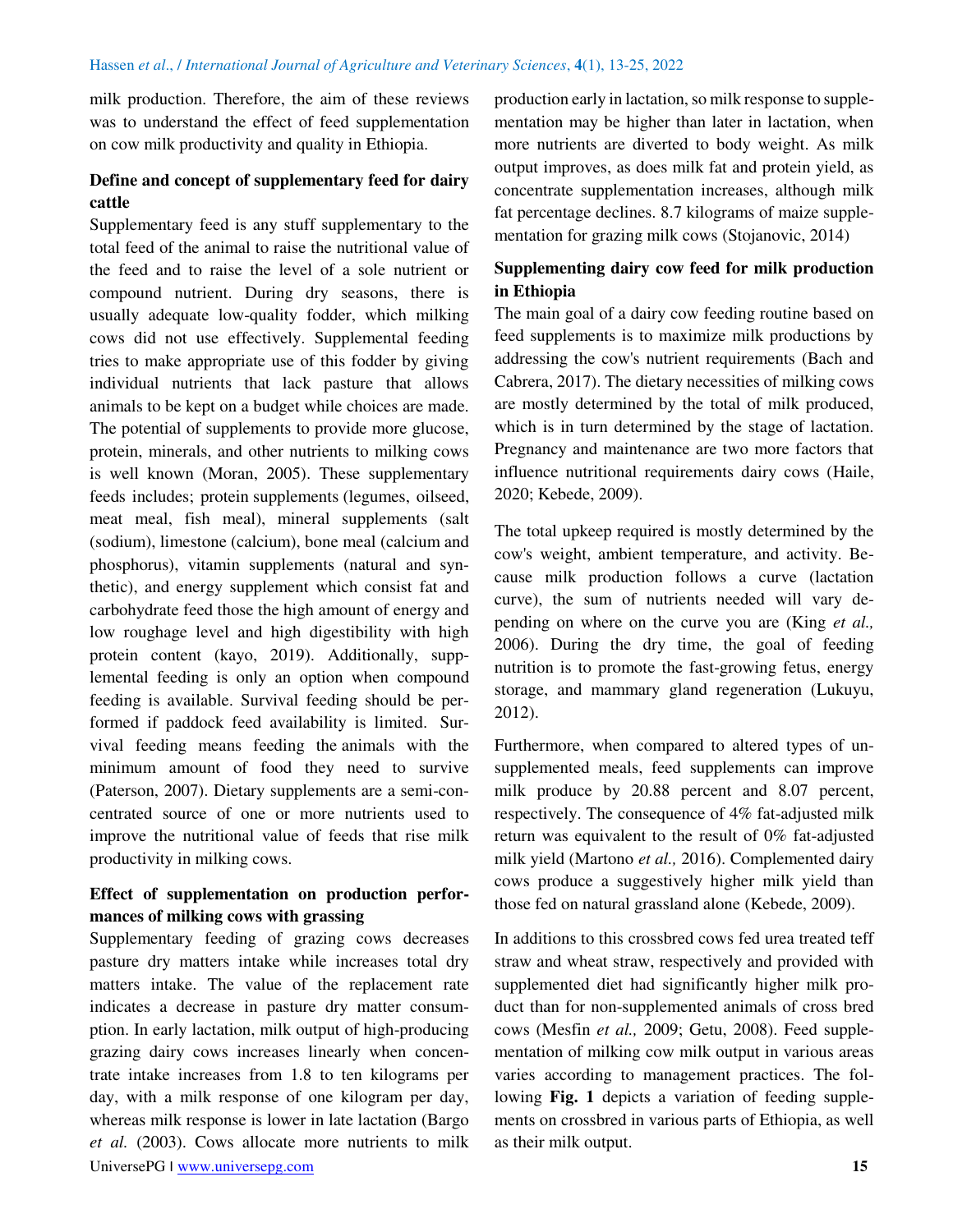milk production. Therefore, the aim of these reviews was to understand the effect of feed supplementation on cow milk productivity and quality in Ethiopia.

# **Define and concept of supplementary feed for dairy cattle**

Supplementary feed is any stuff supplementary to the total feed of the animal to raise the nutritional value of the feed and to raise the level of a sole nutrient or compound nutrient. During dry seasons, there is usually adequate low-quality fodder, which milking cows did not use effectively. Supplemental feeding tries to make appropriate use of this fodder by giving individual nutrients that lack pasture that allows animals to be kept on a budget while choices are made. The potential of supplements to provide more glucose, protein, minerals, and other nutrients to milking cows is well known (Moran, 2005). These supplementary feeds includes; protein supplements (legumes, oilseed, meat meal, fish meal), mineral supplements (salt (sodium), limestone (calcium), bone meal (calcium and phosphorus), vitamin supplements (natural and synthetic), and energy supplement which consist fat and carbohydrate feed those the high amount of energy and low roughage level and high digestibility with high protein content (kayo, 2019). Additionally, supplemental feeding is only an option when compound feeding is available. Survival feeding should be performed if paddock feed availability is limited. Survival feeding means feeding the animals with the minimum amount of food they need to survive (Paterson, 2007). Dietary supplements are a semi-concentrated source of one or more nutrients used to improve the nutritional value of feeds that rise milk productivity in milking cows.

## **Effect of supplementation on production performances of milking cows with grassing**

UniversePG I [www.universepg.com](http://www.universepg.com/) **15** Supplementary feeding of grazing cows decreases pasture dry matters intake while increases total dry matters intake. The value of the replacement rate indicates a decrease in pasture dry matter consumption. In early lactation, milk output of high-producing grazing dairy cows increases linearly when concentrate intake increases from 1.8 to ten kilograms per day, with a milk response of one kilogram per day, whereas milk response is lower in late lactation (Bargo *et al.* (2003). Cows allocate more nutrients to milk

production early in lactation, so milk response to supplementation may be higher than later in lactation, when more nutrients are diverted to body weight. As milk output improves, as does milk fat and protein yield, as concentrate supplementation increases, although milk fat percentage declines. 8.7 kilograms of maize supplementation for grazing milk cows (Stojanovic, 2014)

## **Supplementing dairy cow feed for milk production in Ethiopia**

The main goal of a dairy cow feeding routine based on feed supplements is to maximize milk productions by addressing the cow's nutrient requirements (Bach and Cabrera, 2017). The dietary necessities of milking cows are mostly determined by the total of milk produced, which is in turn determined by the stage of lactation. Pregnancy and maintenance are two more factors that influence nutritional requirements dairy cows (Haile, 2020; Kebede, 2009).

The total upkeep required is mostly determined by the cow's weight, ambient temperature, and activity. Because milk production follows a curve (lactation curve), the sum of nutrients needed will vary depending on where on the curve you are (King *et al.,* 2006). During the dry time, the goal of feeding nutrition is to promote the fast-growing fetus, energy storage, and mammary gland regeneration (Lukuyu, 2012).

Furthermore, when compared to altered types of unsupplemented meals, feed supplements can improve milk produce by 20.88 percent and 8.07 percent, respectively. The consequence of 4% fat-adjusted milk return was equivalent to the result of 0% fat-adjusted milk yield (Martono *et al.,* 2016). Complemented dairy cows produce a suggestively higher milk yield than those fed on natural grassland alone (Kebede, 2009).

In additions to this crossbred cows fed urea treated teff straw and wheat straw, respectively and provided with supplemented diet had significantly higher milk product than for non-supplemented animals of cross bred cows (Mesfin *et al.,* 2009; Getu, 2008). Feed supplementation of milking cow milk output in various areas varies according to management practices. The following **Fig. 1** depicts a variation of feeding supplements on crossbred in various parts of Ethiopia, as well as their milk output.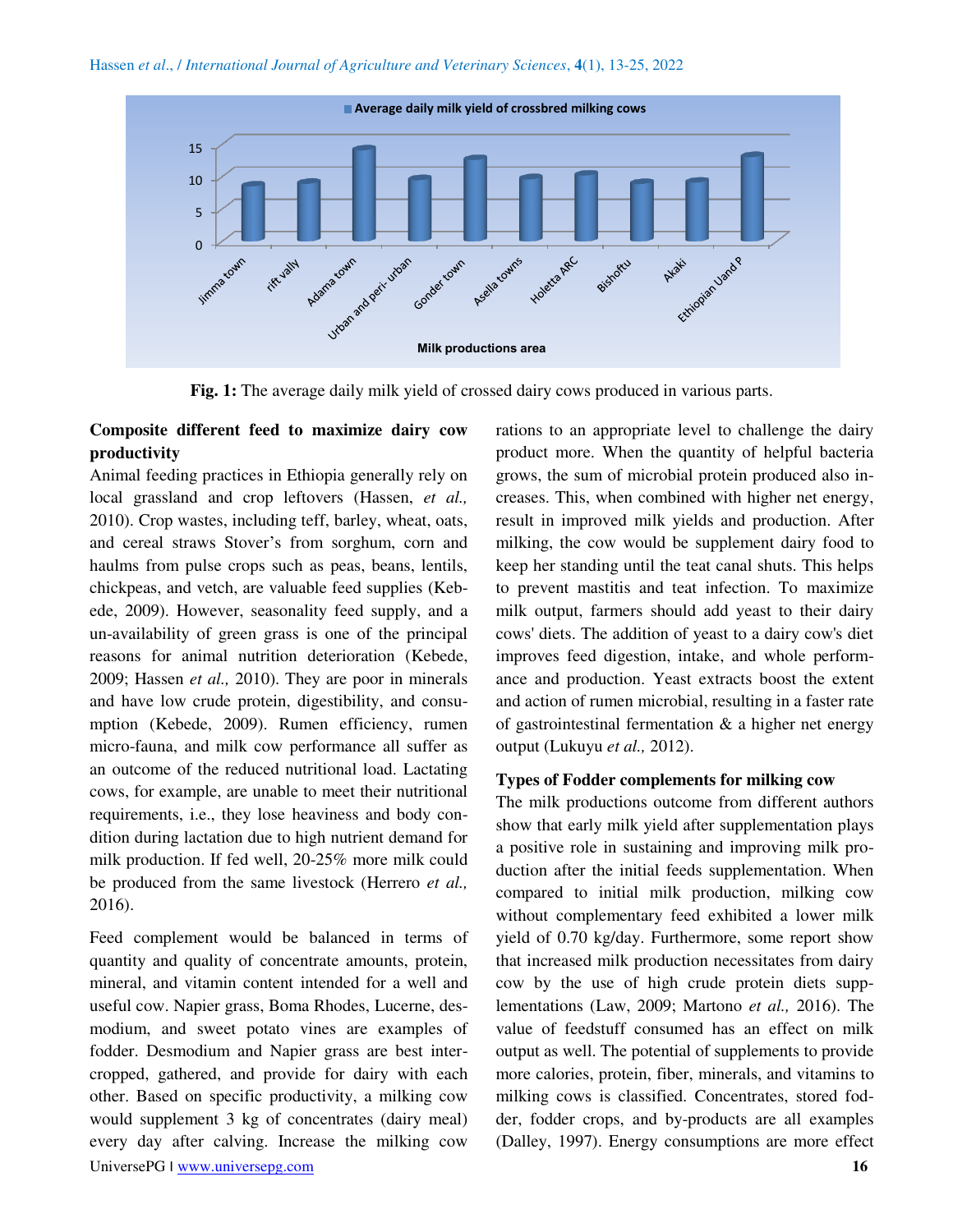

**Fig. 1:** The average daily milk yield of crossed dairy cows produced in various parts.

## **Composite different feed to maximize dairy cow productivity**

Animal feeding practices in Ethiopia generally rely on local grassland and crop leftovers (Hassen, *et al.,* 2010). Crop wastes, including teff, barley, wheat, oats, and cereal straws Stover's from sorghum, corn and haulms from pulse crops such as peas, beans, lentils, chickpeas, and vetch, are valuable feed supplies (Kebede, 2009). However, seasonality feed supply, and a un-availability of green grass is one of the principal reasons for animal nutrition deterioration (Kebede, 2009; Hassen *et al.,* 2010). They are poor in minerals and have low crude protein, digestibility, and consumption (Kebede, 2009). Rumen efficiency, rumen micro-fauna, and milk cow performance all suffer as an outcome of the reduced nutritional load. Lactating cows, for example, are unable to meet their nutritional requirements, i.e., they lose heaviness and body condition during lactation due to high nutrient demand for milk production. If fed well, 20-25% more milk could be produced from the same livestock (Herrero *et al.,* 2016).

UniversePG I [www.universepg.com](http://www.universepg.com/) **16** Feed complement would be balanced in terms of quantity and quality of concentrate amounts, protein, mineral, and vitamin content intended for a well and useful cow. Napier grass, Boma Rhodes, Lucerne, desmodium, and sweet potato vines are examples of fodder. Desmodium and Napier grass are best intercropped, gathered, and provide for dairy with each other. Based on specific productivity, a milking cow would supplement 3 kg of concentrates (dairy meal) every day after calving. Increase the milking cow

rations to an appropriate level to challenge the dairy product more. When the quantity of helpful bacteria grows, the sum of microbial protein produced also increases. This, when combined with higher net energy, result in improved milk yields and production. After milking, the cow would be supplement dairy food to keep her standing until the teat canal shuts. This helps to prevent mastitis and teat infection. To maximize milk output, farmers should add yeast to their dairy cows' diets. The addition of yeast to a dairy cow's diet improves feed digestion, intake, and whole performance and production. Yeast extracts boost the extent and action of rumen microbial, resulting in a faster rate of gastrointestinal fermentation & a higher net energy output (Lukuyu *et al.,* 2012).

#### **Types of Fodder complements for milking cow**

The milk productions outcome from different authors show that early milk yield after supplementation plays a positive role in sustaining and improving milk production after the initial feeds supplementation. When compared to initial milk production, milking cow without complementary feed exhibited a lower milk yield of 0.70 kg/day. Furthermore, some report show that increased milk production necessitates from dairy cow by the use of high crude protein diets supplementations (Law, 2009; Martono *et al.,* 2016). The value of feedstuff consumed has an effect on milk output as well. The potential of supplements to provide more calories, protein, fiber, minerals, and vitamins to milking cows is classified. Concentrates, stored fodder, fodder crops, and by-products are all examples (Dalley, 1997). Energy consumptions are more effect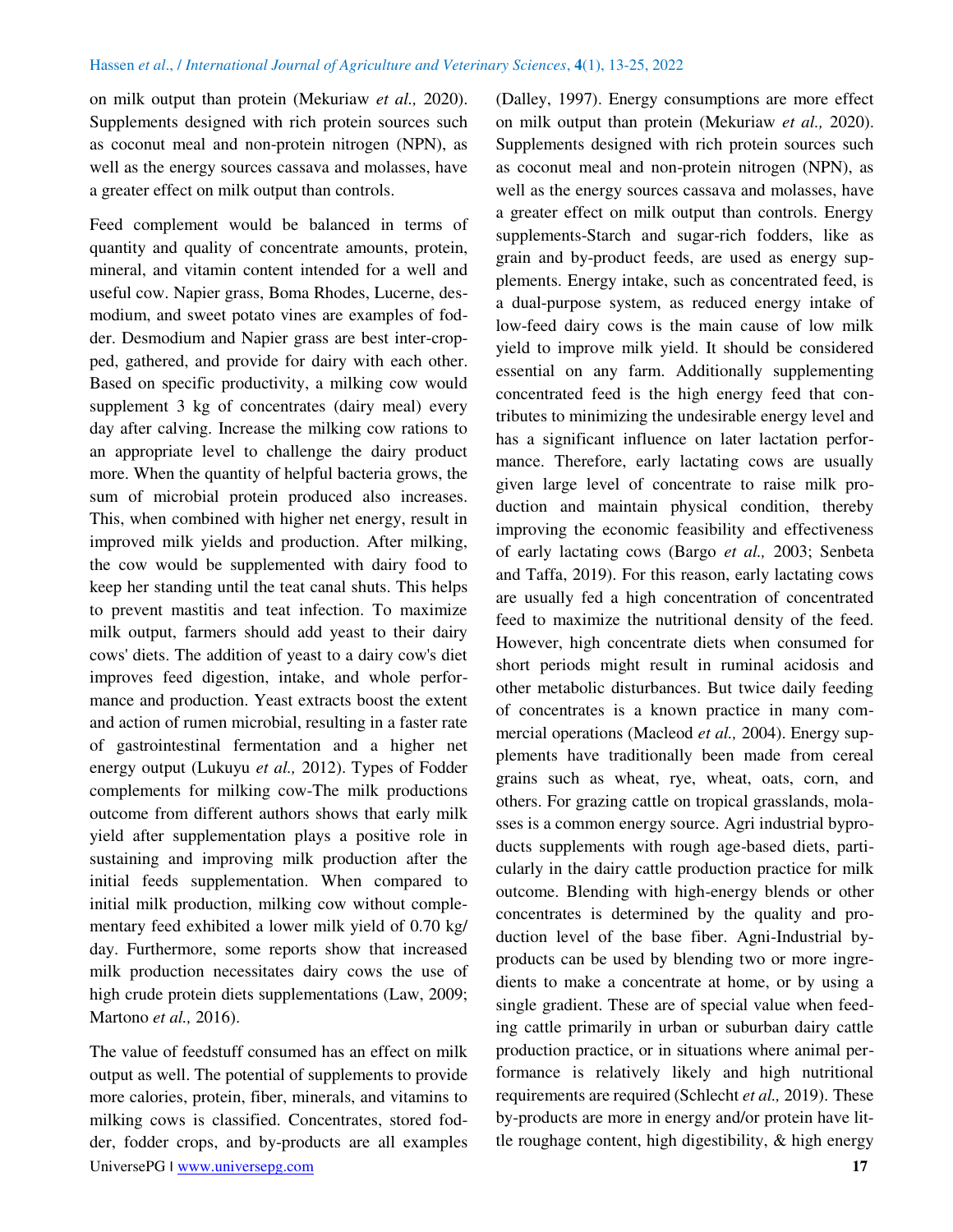on milk output than protein (Mekuriaw *et al.,* 2020). Supplements designed with rich protein sources such as coconut meal and non-protein nitrogen (NPN), as well as the energy sources cassava and molasses, have a greater effect on milk output than controls.

Feed complement would be balanced in terms of quantity and quality of concentrate amounts, protein, mineral, and vitamin content intended for a well and useful cow. Napier grass, Boma Rhodes, Lucerne, desmodium, and sweet potato vines are examples of fodder. Desmodium and Napier grass are best inter-cropped, gathered, and provide for dairy with each other. Based on specific productivity, a milking cow would supplement 3 kg of concentrates (dairy meal) every day after calving. Increase the milking cow rations to an appropriate level to challenge the dairy product more. When the quantity of helpful bacteria grows, the sum of microbial protein produced also increases. This, when combined with higher net energy, result in improved milk yields and production. After milking, the cow would be supplemented with dairy food to keep her standing until the teat canal shuts. This helps to prevent mastitis and teat infection. To maximize milk output, farmers should add yeast to their dairy cows' diets. The addition of yeast to a dairy cow's diet improves feed digestion, intake, and whole performance and production. Yeast extracts boost the extent and action of rumen microbial, resulting in a faster rate of gastrointestinal fermentation and a higher net energy output (Lukuyu *et al.,* 2012). Types of Fodder complements for milking cow-The milk productions outcome from different authors shows that early milk yield after supplementation plays a positive role in sustaining and improving milk production after the initial feeds supplementation. When compared to initial milk production, milking cow without complementary feed exhibited a lower milk yield of 0.70 kg/ day. Furthermore, some reports show that increased milk production necessitates dairy cows the use of high crude protein diets supplementations (Law, 2009; Martono *et al.,* 2016).

UniversePG I [www.universepg.com](http://www.universepg.com/) **17** The value of feedstuff consumed has an effect on milk output as well. The potential of supplements to provide more calories, protein, fiber, minerals, and vitamins to milking cows is classified. Concentrates, stored fodder, fodder crops, and by-products are all examples

(Dalley, 1997). Energy consumptions are more effect on milk output than protein (Mekuriaw *et al.,* 2020). Supplements designed with rich protein sources such as coconut meal and non-protein nitrogen (NPN), as well as the energy sources cassava and molasses, have a greater effect on milk output than controls. Energy supplements-Starch and sugar-rich fodders, like as grain and by-product feeds, are used as energy supplements. Energy intake, such as concentrated feed, is a dual-purpose system, as reduced energy intake of low-feed dairy cows is the main cause of low milk yield to improve milk yield. It should be considered essential on any farm. Additionally supplementing concentrated feed is the high energy feed that contributes to minimizing the undesirable energy level and has a significant influence on later lactation performance. Therefore, early lactating cows are usually given large level of concentrate to raise milk production and maintain physical condition, thereby improving the economic feasibility and effectiveness of early lactating cows (Bargo *et al.,* 2003; Senbeta and Taffa, 2019). For this reason, early lactating cows are usually fed a high concentration of concentrated feed to maximize the nutritional density of the feed. However, high concentrate diets when consumed for short periods might result in ruminal acidosis and other metabolic disturbances. But twice daily feeding of concentrates is a known practice in many commercial operations (Macleod *et al.,* 2004). Energy supplements have traditionally been made from cereal grains such as wheat, rye, wheat, oats, corn, and others. For grazing cattle on tropical grasslands, molasses is a common energy source. Agri industrial byproducts supplements with rough age-based diets, particularly in the dairy cattle production practice for milk outcome. Blending with high-energy blends or other concentrates is determined by the quality and production level of the base fiber. Agni-Industrial byproducts can be used by blending two or more ingredients to make a concentrate at home, or by using a single gradient. These are of special value when feeding cattle primarily in urban or suburban dairy cattle production practice, or in situations where animal performance is relatively likely and high nutritional requirements are required (Schlecht *et al.,* 2019). These by-products are more in energy and/or protein have little roughage content, high digestibility, & high energy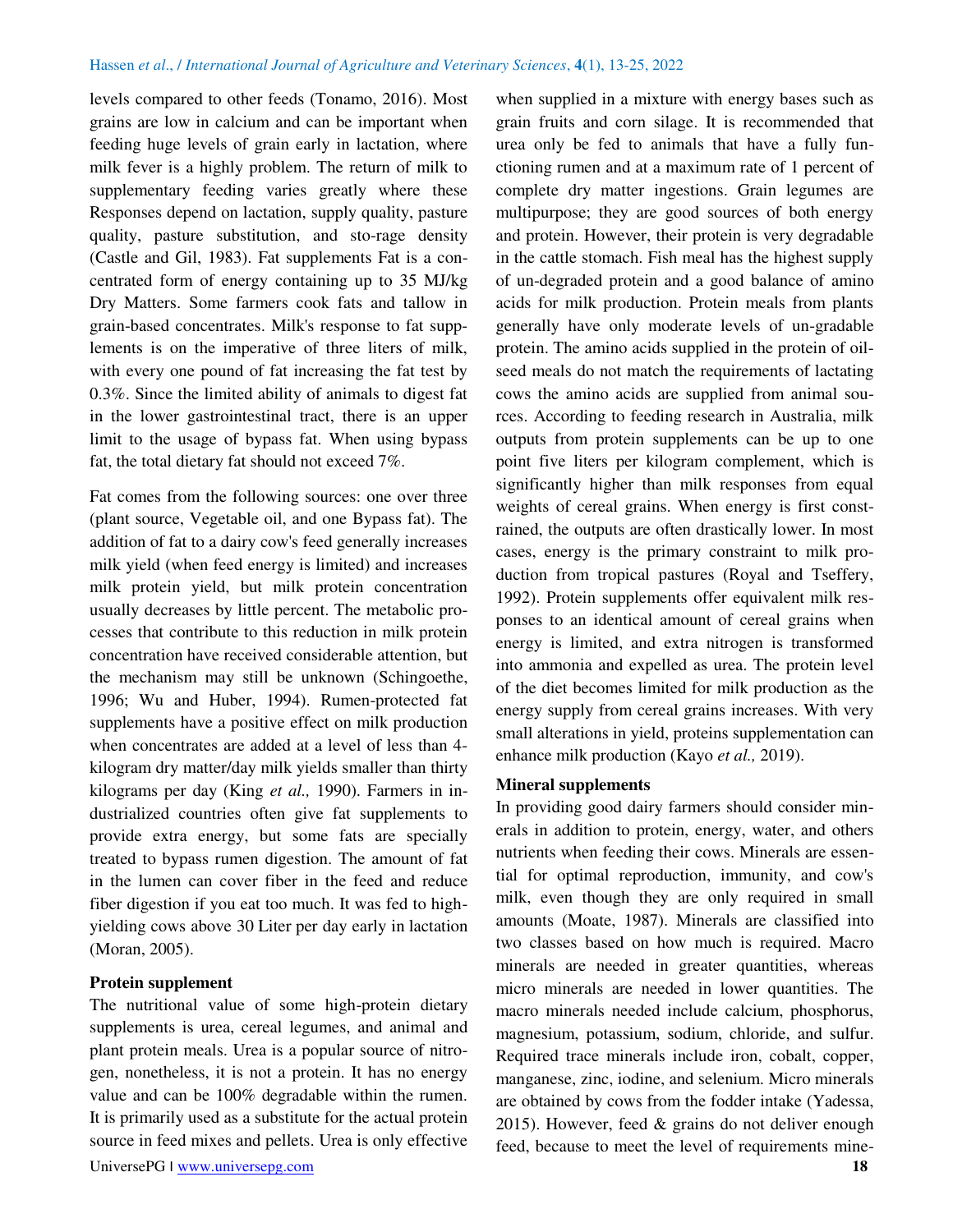levels compared to other feeds (Tonamo, 2016). Most grains are low in calcium and can be important when feeding huge levels of grain early in lactation, where milk fever is a highly problem. The return of milk to supplementary feeding varies greatly where these Responses depend on lactation, supply quality, pasture quality, pasture substitution, and sto-rage density (Castle and Gil, 1983). Fat supplements Fat is a concentrated form of energy containing up to 35 MJ/kg Dry Matters. Some farmers cook fats and tallow in grain-based concentrates. Milk's response to fat supplements is on the imperative of three liters of milk, with every one pound of fat increasing the fat test by 0.3%. Since the limited ability of animals to digest fat in the lower gastrointestinal tract, there is an upper limit to the usage of bypass fat. When using bypass fat, the total dietary fat should not exceed 7%.

Fat comes from the following sources: one over three (plant source, Vegetable oil, and one Bypass fat). The addition of fat to a dairy cow's feed generally increases milk yield (when feed energy is limited) and increases milk protein yield, but milk protein concentration usually decreases by little percent. The metabolic processes that contribute to this reduction in milk protein concentration have received considerable attention, but the mechanism may still be unknown (Schingoethe, 1996; Wu and Huber, 1994). Rumen-protected fat supplements have a positive effect on milk production when concentrates are added at a level of less than 4 kilogram dry matter/day milk yields smaller than thirty kilograms per day (King *et al.,* 1990). Farmers in industrialized countries often give fat supplements to provide extra energy, but some fats are specially treated to bypass rumen digestion. The amount of fat in the lumen can cover fiber in the feed and reduce fiber digestion if you eat too much. It was fed to highyielding cows above 30 Liter per day early in lactation (Moran, 2005).

#### **Protein supplement**

The nutritional value of some high-protein dietary supplements is urea, cereal legumes, and animal and plant protein meals. Urea is a popular source of nitrogen, nonetheless, it is not a protein. It has no energy value and can be 100% degradable within the rumen. It is primarily used as a substitute for the actual protein source in feed mixes and pellets. Urea is only effective

when supplied in a mixture with energy bases such as grain fruits and corn silage. It is recommended that urea only be fed to animals that have a fully functioning rumen and at a maximum rate of 1 percent of complete dry matter ingestions. Grain legumes are multipurpose; they are good sources of both energy and protein. However, their protein is very degradable in the cattle stomach. Fish meal has the highest supply of un-degraded protein and a good balance of amino acids for milk production. Protein meals from plants generally have only moderate levels of un-gradable protein. The amino acids supplied in the protein of oilseed meals do not match the requirements of lactating cows the amino acids are supplied from animal sources. According to feeding research in Australia, milk outputs from protein supplements can be up to one point five liters per kilogram complement, which is significantly higher than milk responses from equal weights of cereal grains. When energy is first constrained, the outputs are often drastically lower. In most cases, energy is the primary constraint to milk production from tropical pastures (Royal and Tseffery, 1992). Protein supplements offer equivalent milk responses to an identical amount of cereal grains when energy is limited, and extra nitrogen is transformed into ammonia and expelled as urea. The protein level of the diet becomes limited for milk production as the energy supply from cereal grains increases. With very small alterations in yield, proteins supplementation can enhance milk production (Kayo *et al.,* 2019).

#### **Mineral supplements**

In providing good dairy farmers should consider minerals in addition to protein, energy, water, and others nutrients when feeding their cows. Minerals are essential for optimal reproduction, immunity, and cow's milk, even though they are only required in small amounts (Moate, 1987). Minerals are classified into two classes based on how much is required. Macro minerals are needed in greater quantities, whereas micro minerals are needed in lower quantities. The macro minerals needed include calcium, phosphorus, magnesium, potassium, sodium, chloride, and sulfur. Required trace minerals include iron, cobalt, copper, manganese, zinc, iodine, and selenium. Micro minerals are obtained by cows from the fodder intake (Yadessa, 2015). However, feed & grains do not deliver enough feed, because to meet the level of requirements mine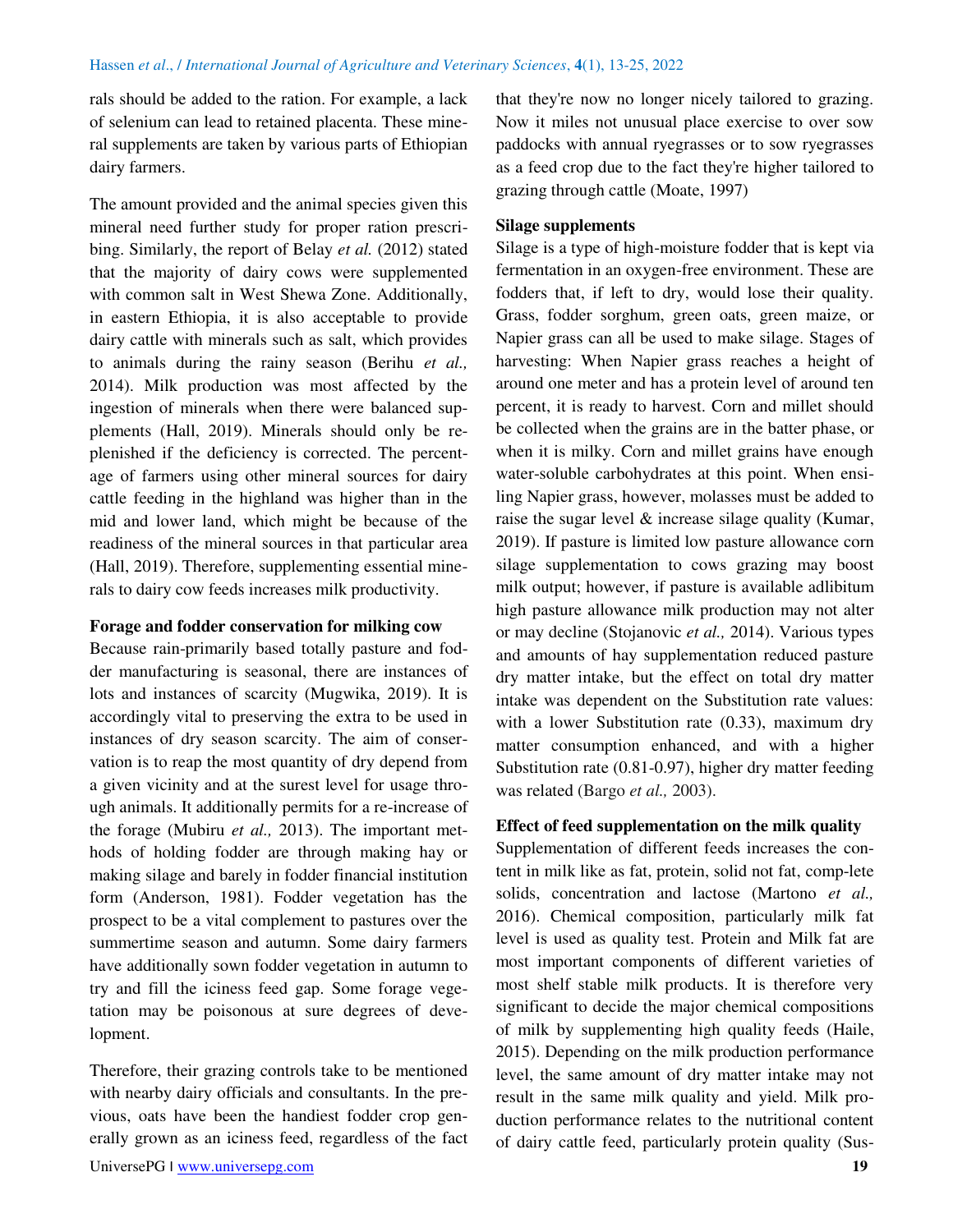rals should be added to the ration. For example, a lack of selenium can lead to retained placenta. These mineral supplements are taken by various parts of Ethiopian dairy farmers.

The amount provided and the animal species given this mineral need further study for proper ration prescribing. Similarly, the report of Belay *et al.* (2012) stated that the majority of dairy cows were supplemented with common salt in West Shewa Zone. Additionally, in eastern Ethiopia, it is also acceptable to provide dairy cattle with minerals such as salt, which provides to animals during the rainy season (Berihu *et al.,* 2014). Milk production was most affected by the ingestion of minerals when there were balanced supplements (Hall, 2019). Minerals should only be replenished if the deficiency is corrected. The percentage of farmers using other mineral sources for dairy cattle feeding in the highland was higher than in the mid and lower land, which might be because of the readiness of the mineral sources in that particular area (Hall, 2019). Therefore, supplementing essential minerals to dairy cow feeds increases milk productivity.

## **Forage and fodder conservation for milking cow**

Because rain-primarily based totally pasture and fodder manufacturing is seasonal, there are instances of lots and instances of scarcity (Mugwika, 2019). It is accordingly vital to preserving the extra to be used in instances of dry season scarcity. The aim of conservation is to reap the most quantity of dry depend from a given vicinity and at the surest level for usage through animals. It additionally permits for a re-increase of the forage (Mubiru *et al.,* 2013). The important methods of holding fodder are through making hay or making silage and barely in fodder financial institution form (Anderson, 1981). Fodder vegetation has the prospect to be a vital complement to pastures over the summertime season and autumn. Some dairy farmers have additionally sown fodder vegetation in autumn to try and fill the iciness feed gap. Some forage vegetation may be poisonous at sure degrees of development.

Therefore, their grazing controls take to be mentioned with nearby dairy officials and consultants. In the previous, oats have been the handiest fodder crop generally grown as an iciness feed, regardless of the fact that they're now no longer nicely tailored to grazing. Now it miles not unusual place exercise to over sow paddocks with annual ryegrasses or to sow ryegrasses as a feed crop due to the fact they're higher tailored to grazing through cattle (Moate, 1997)

#### **Silage supplements**

Silage is a type of high-moisture fodder that is kept via fermentation in an oxygen-free environment. These are fodders that, if left to dry, would lose their quality. Grass, fodder sorghum, green oats, green maize, or Napier grass can all be used to make silage. Stages of harvesting: When Napier grass reaches a height of around one meter and has a protein level of around ten percent, it is ready to harvest. Corn and millet should be collected when the grains are in the batter phase, or when it is milky. Corn and millet grains have enough water-soluble carbohydrates at this point. When ensiling Napier grass, however, molasses must be added to raise the sugar level & increase silage quality (Kumar, 2019). If pasture is limited low pasture allowance corn silage supplementation to cows grazing may boost milk output; however, if pasture is available adlibitum high pasture allowance milk production may not alter or may decline (Stojanovic *et al.,* 2014). Various types and amounts of hay supplementation reduced pasture dry matter intake, but the effect on total dry matter intake was dependent on the Substitution rate values: with a lower Substitution rate (0.33), maximum dry matter consumption enhanced, and with a higher Substitution rate (0.81-0.97), higher dry matter feeding was related (Bargo *et al.,* 2003).

#### **Effect of feed supplementation on the milk quality**

Supplementation of different feeds increases the content in milk like as fat, protein, solid not fat, comp-lete solids, concentration and lactose (Martono *et al.,* 2016). Chemical composition, particularly milk fat level is used as quality test. Protein and Milk fat are most important components of different varieties of most shelf stable milk products. It is therefore very significant to decide the major chemical compositions of milk by supplementing high quality feeds (Haile, 2015). Depending on the milk production performance level, the same amount of dry matter intake may not result in the same milk quality and yield. Milk production performance relates to the nutritional content of dairy cattle feed, particularly protein quality (Sus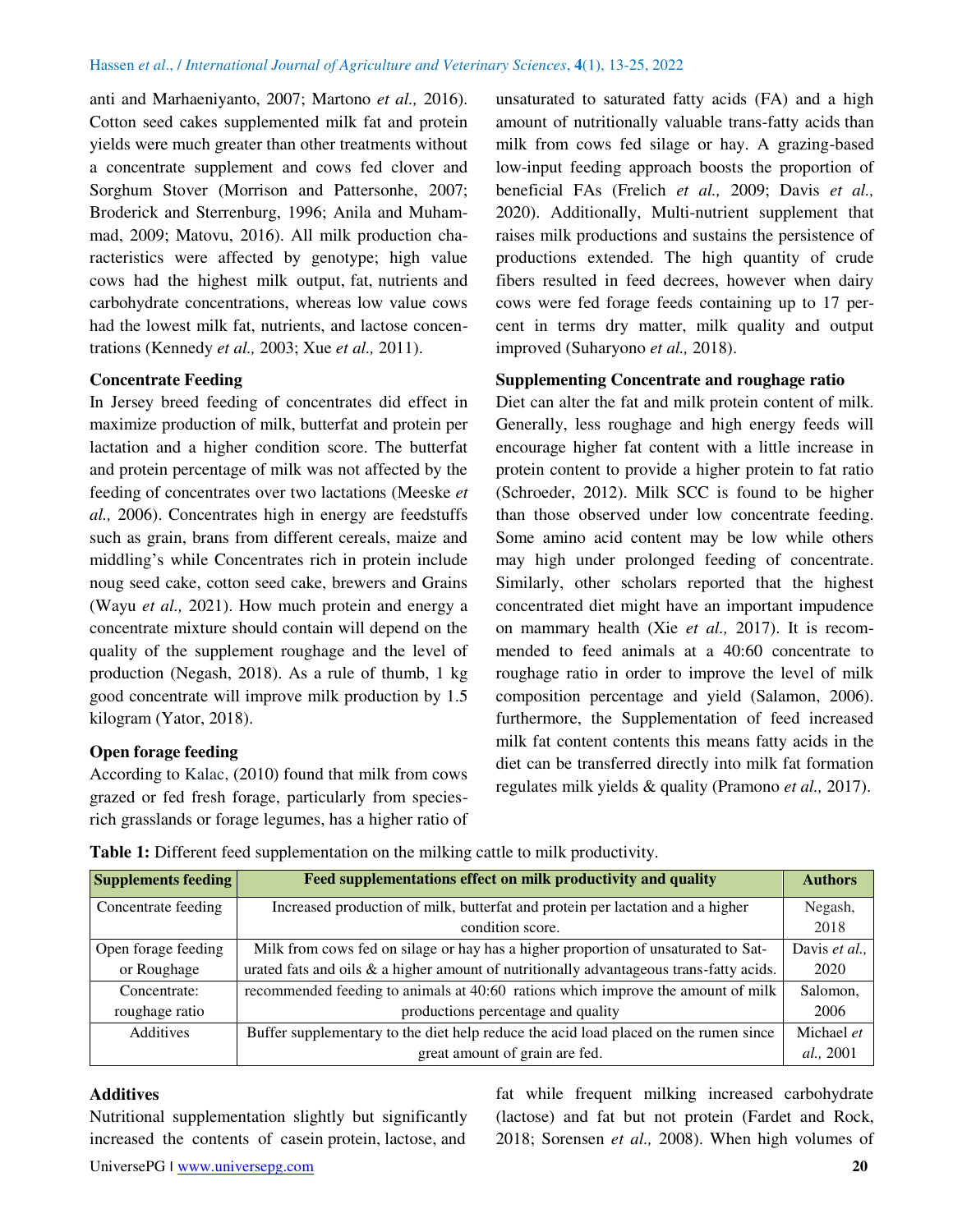anti and Marhaeniyanto, 2007; Martono *et al.,* 2016). Cotton seed cakes supplemented milk fat and protein yields were much greater than other treatments without a concentrate supplement and cows fed clover and Sorghum Stover (Morrison and Pattersonhe, 2007; Broderick and Sterrenburg, 1996; Anila and Muhammad, 2009; Matovu, 2016). All milk production characteristics were affected by genotype; high value cows had the highest milk output, fat, nutrients and carbohydrate concentrations, whereas low value cows had the lowest milk fat, nutrients, and lactose concentrations (Kennedy *et al.,* 2003; Xue *et al.,* 2011).

## **Concentrate Feeding**

In Jersey breed feeding of concentrates did effect in maximize production of milk, butterfat and protein per lactation and a higher condition score. The butterfat and protein percentage of milk was not affected by the feeding of concentrates over two lactations (Meeske *et al.,* 2006). Concentrates high in energy are feedstuffs such as grain, brans from different cereals, maize and middling's while Concentrates rich in protein include noug seed cake, cotton seed cake, brewers and Grains (Wayu *et al.,* 2021). How much protein and energy a concentrate mixture should contain will depend on the quality of the supplement roughage and the level of production (Negash, 2018). As a rule of thumb, 1 kg good concentrate will improve milk production by 1.5 kilogram (Yator, 2018).

## **Open forage feeding**

According to Kalac, (2010) found that milk from cows grazed or fed fresh forage, particularly from speciesrich grasslands or forage legumes, has a higher ratio of unsaturated to saturated fatty acids (FA) and a high amount of nutritionally valuable trans-fatty acids than milk from cows fed silage or hay. A grazing-based low-input feeding approach boosts the proportion of beneficial FAs (Frelich *et al.,* 2009; Davis *et al.,* 2020). Additionally, Multi-nutrient supplement that raises milk productions and sustains the persistence of productions extended. The high quantity of crude fibers resulted in feed decrees, however when dairy cows were fed forage feeds containing up to 17 percent in terms dry matter, milk quality and output improved (Suharyono *et al.,* 2018).

#### **Supplementing Concentrate and roughage ratio**

Diet can alter the fat and milk protein content of milk. Generally, less roughage and high energy feeds will encourage higher fat content with a little increase in protein content to provide a higher protein to fat ratio (Schroeder, 2012). Milk SCC is found to be higher than those observed under low concentrate feeding. Some amino acid content may be low while others may high under prolonged feeding of concentrate. Similarly, other scholars reported that the highest concentrated diet might have an important impudence on mammary health (Xie *et al.,* 2017). It is recommended to feed animals at a 40:60 concentrate to roughage ratio in order to improve the level of milk composition percentage and yield (Salamon, 2006). furthermore, the Supplementation of feed increased milk fat content contents this means fatty acids in the diet can be transferred directly into milk fat formation regulates milk yields & quality (Pramono *et al.,* 2017).

|  | Table 1: Different feed supplementation on the milking cattle to milk productivity. |  |  |
|--|-------------------------------------------------------------------------------------|--|--|
|  |                                                                                     |  |  |

| <b>Supplements feeding</b> | Feed supplementations effect on milk productivity and quality                              | <b>Authors</b>    |
|----------------------------|--------------------------------------------------------------------------------------------|-------------------|
| Concentrate feeding        | Increased production of milk, butterfat and protein per lactation and a higher             |                   |
|                            | condition score.                                                                           | 2018              |
| Open forage feeding        | Milk from cows fed on silage or hay has a higher proportion of unsaturated to Sat-         | Davis et al.,     |
| or Roughage                | urated fats and oils $\&$ a higher amount of nutritionally advantageous trans-fatty acids. | 2020              |
| Concentrate:               | recommended feeding to animals at 40:60 rations which improve the amount of milk           | Salomon,          |
| roughage ratio             | productions percentage and quality                                                         | 2006              |
| <b>Additives</b>           | Buffer supplementary to the diet help reduce the acid load placed on the rumen since       | Michael et        |
|                            | great amount of grain are fed.                                                             | <i>al.</i> , 2001 |

#### **Additives**

Nutritional supplementation slightly but significantly increased the contents of casein protein, lactose, and

fat while frequent milking increased carbohydrate (lactose) and fat but not protein (Fardet and Rock, 2018; Sorensen *et al.,* 2008). When high volumes of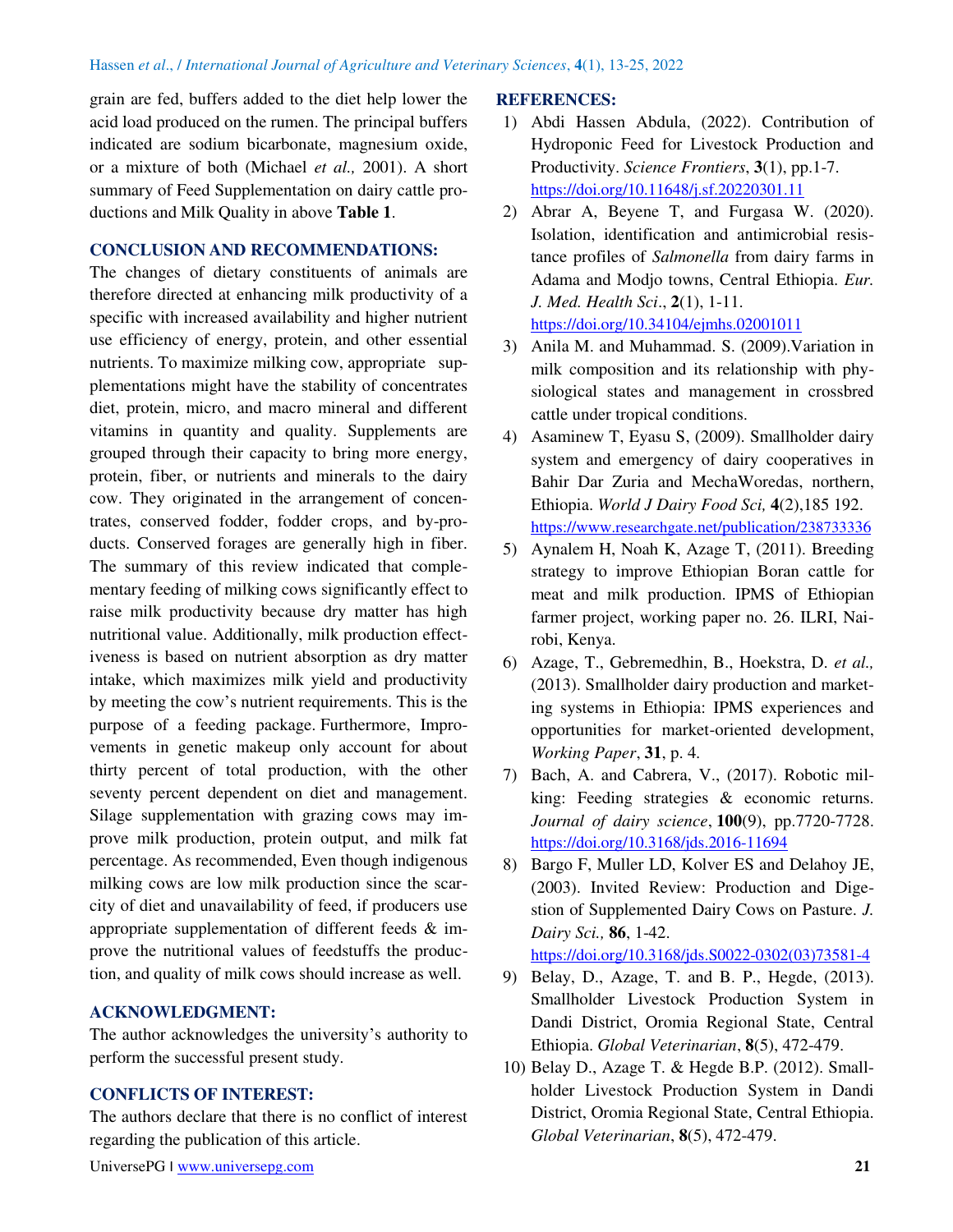grain are fed, buffers added to the diet help lower the acid load produced on the rumen. The principal buffers indicated are sodium bicarbonate, magnesium oxide, or a mixture of both (Michael *et al.,* 2001). A short summary of Feed Supplementation on dairy cattle productions and Milk Quality in above **Table 1**.

#### **CONCLUSION AND RECOMMENDATIONS:**

The changes of dietary constituents of animals are therefore directed at enhancing milk productivity of a specific with increased availability and higher nutrient use efficiency of energy, protein, and other essential nutrients. To maximize milking cow, appropriate supplementations might have the stability of concentrates diet, protein, micro, and macro mineral and different vitamins in quantity and quality. Supplements are grouped through their capacity to bring more energy, protein, fiber, or nutrients and minerals to the dairy cow. They originated in the arrangement of concentrates, conserved fodder, fodder crops, and by-products. Conserved forages are generally high in fiber. The summary of this review indicated that complementary feeding of milking cows significantly effect to raise milk productivity because dry matter has high nutritional value. Additionally, milk production effectiveness is based on nutrient absorption as dry matter intake, which maximizes milk yield and productivity by meeting the cow's nutrient requirements. This is the purpose of a feeding package. Furthermore, Improvements in genetic makeup only account for about thirty percent of total production, with the other seventy percent dependent on diet and management. Silage supplementation with grazing cows may improve milk production, protein output, and milk fat percentage. As recommended, Even though indigenous milking cows are low milk production since the scarcity of diet and unavailability of feed, if producers use appropriate supplementation of different feeds & improve the nutritional values of feedstuffs the production, and quality of milk cows should increase as well.

## **ACKNOWLEDGMENT:**

The author acknowledges the university's authority to perform the successful present study.

## **CONFLICTS OF INTEREST:**

The authors declare that there is no conflict of interest regarding the publication of this article.

#### UniversePG I [www.universepg.com](http://www.universepg.com/) **21**

#### **REFERENCES:**

- 1) Abdi Hassen Abdula, (2022). Contribution of Hydroponic Feed for Livestock Production and Productivity. *Science Frontiers*, **3**(1), pp.1-7. <https://doi.org/10.11648/j.sf.20220301.11>
- 2) Abrar A, Beyene T, and Furgasa W. (2020). Isolation, identification and antimicrobial resistance profiles of *Salmonella* from dairy farms in Adama and Modjo towns, Central Ethiopia. *Eur. J. Med. Health Sci*., **2**(1), 1-11. <https://doi.org/10.34104/ejmhs.02001011>
- 3) Anila M. and Muhammad. S. (2009).Variation in milk composition and its relationship with physiological states and management in crossbred cattle under tropical conditions.
- 4) Asaminew T, Eyasu S, (2009). Smallholder dairy system and emergency of dairy cooperatives in Bahir Dar Zuria and MechaWoredas, northern, Ethiopia. *World J Dairy Food Sci,* **4**(2),185 192. https://www.researchgate[.net/publication/](https://www.researchgate.net/publication/238733336)238733336
- 5) Aynalem H, Noah K, Azage T, (2011). Breeding strategy to improve Ethiopian Boran cattle for meat and milk production. IPMS of Ethiopian farmer project, working paper no. 26. ILRI, Nairobi, Kenya.
- 6) Azage, T., Gebremedhin, B., Hoekstra, D. *et al.,* (2013). Smallholder dairy production and marketing systems in Ethiopia: IPMS experiences and opportunities for market-oriented development, *Working Paper*, **31**, p. 4.
- 7) Bach, A. and Cabrera, V., (2017). Robotic milking: Feeding strategies & economic returns. *Journal of dairy science*, **100**(9), pp.7720-7728. <https://doi.org/10.3168/jds.2016-11694>
- 8) Bargo F, Muller LD, Kolver ES and Delahoy JE, (2003). Invited Review: Production and Digestion of Supplemented Dairy Cows on Pasture. *J. Dairy Sci.,* **86**, 1-42. [https://doi.org/10.3168/jds.S0022-0302\(03\)73581-4](https://doi.org/10.3168/jds.S0022-0302(03)73581-4)
- 9) Belay, D., Azage, T. and B. P., Hegde, (2013). Smallholder Livestock Production System in Dandi District, Oromia Regional State, Central Ethiopia. *Global Veterinarian*, **8**(5), 472-479.
- 10) Belay D., Azage T. & Hegde B.P. (2012). Smallholder Livestock Production System in Dandi District, Oromia Regional State, Central Ethiopia. *Global Veterinarian*, **8**(5), 472-479.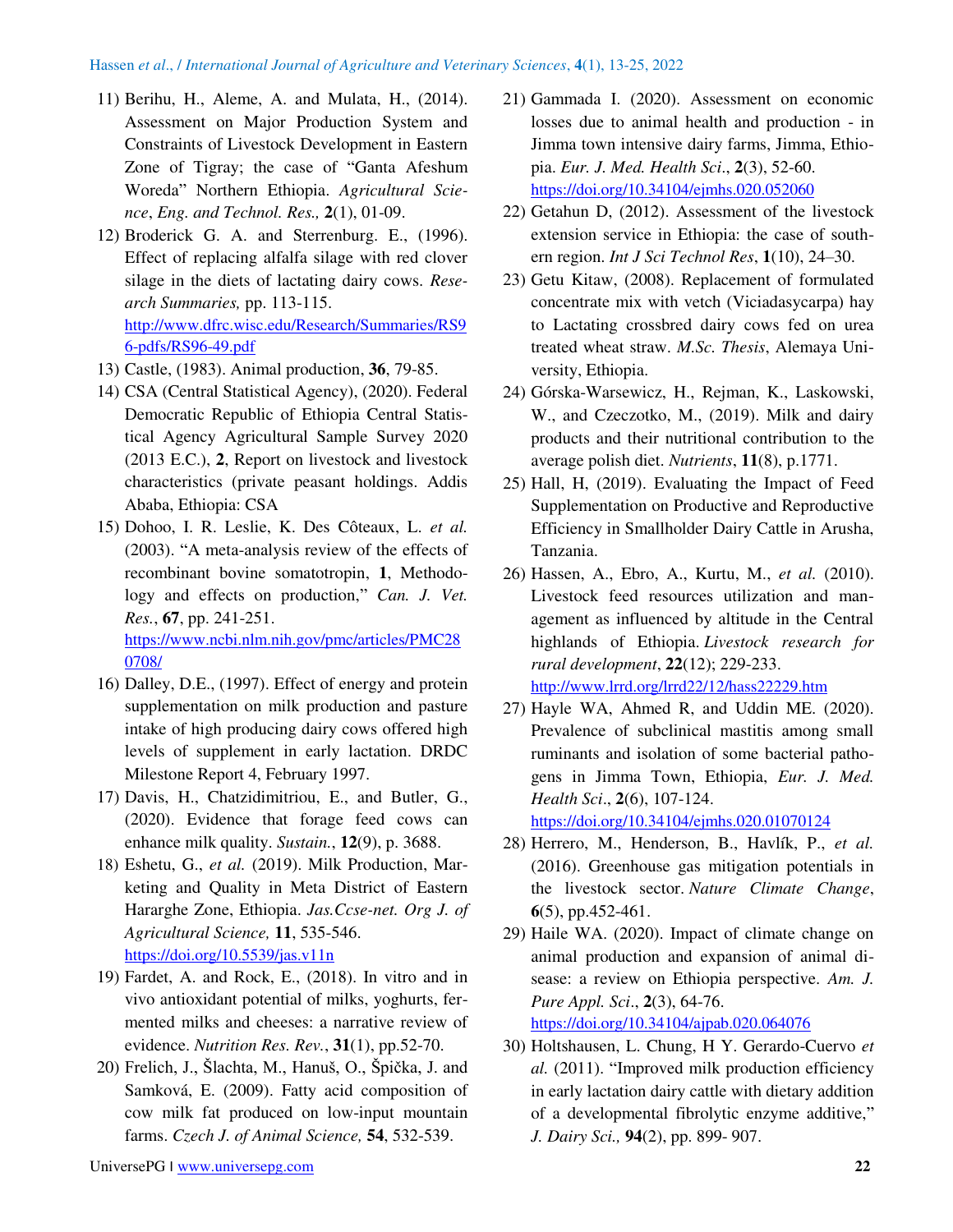- 11) Berihu, H., Aleme, A. and Mulata, H., (2014). Assessment on Major Production System and Constraints of Livestock Development in Eastern Zone of Tigray; the case of "Ganta Afeshum Woreda" Northern Ethiopia. *Agricultural Science*, *Eng. and Technol. Res.,* **2**(1), 01-09.
- 12) Broderick G. A. and Sterrenburg. E., (1996). Effect of replacing alfalfa silage with red clover silage in the diets of lactating dairy cows. *Research Summaries,* pp. 113-115. [http://www.dfrc.wisc.edu/Research/Summaries/RS9](http://www.dfrc.wisc.edu/Research/Summaries/RS96-pdfs/RS96-49.pdf) [6-pdfs/RS96-49.pdf](http://www.dfrc.wisc.edu/Research/Summaries/RS96-pdfs/RS96-49.pdf)
- 13) Castle, (1983). Animal production, **36**, 79-85.
- 14) CSA (Central Statistical Agency), (2020). Federal Democratic Republic of Ethiopia Central Statistical Agency Agricultural Sample Survey 2020 (2013 E.C.), **2**, Report on livestock and livestock characteristics (private peasant holdings. Addis Ababa, Ethiopia: CSA
- 15) Dohoo, I. R. Leslie, K. Des Côteaux, L. *et al.* (2003). "A meta-analysis review of the effects of recombinant bovine somatotropin, **1**, Methodology and effects on production," Can. *J. Vet. Res.*, **67**, pp. 241-251. [https://www.ncbi.nlm.nih.gov/pmc/articles/PMC28](https://www.ncbi.nlm.nih.gov/pmc/articles/PMC280708/) [0708/](https://www.ncbi.nlm.nih.gov/pmc/articles/PMC280708/)
- 16) Dalley, D.E., (1997). Effect of energy and protein supplementation on milk production and pasture intake of high producing dairy cows offered high levels of supplement in early lactation. DRDC Milestone Report 4, February 1997.
- 17) Davis, H., Chatzidimitriou, E., and Butler, G., (2020). Evidence that forage feed cows can enhance milk quality. *Sustain.*, **12**(9), p. 3688.
- 18) Eshetu, G., *et al.* (2019). Milk Production, Marketing and Quality in Meta District of Eastern Hararghe Zone, Ethiopia. *Jas.Ccse-net. Org J. of Agricultural Science,* **11**, 535-546. <https://doi.org/10.5539/jas.v11n>
- 19) Fardet, A. and Rock, E., (2018). In vitro and in vivo antioxidant potential of milks, yoghurts, fermented milks and cheeses: a narrative review of evidence. *Nutrition Res. Rev.*, **31**(1), pp.52-70.
- 20) Frelich, J., Šlachta, M., Hanuš, O., Špička, J. and Samková, E. (2009). Fatty acid composition of cow milk fat produced on low-input mountain farms. *Czech J. of Animal Science,* **54**, 532-539.
- 21) Gammada I. (2020). Assessment on economic losses due to animal health and production - in Jimma town intensive dairy farms, Jimma, Ethiopia. *Eur. J. Med. Health Sci*., **2**(3), 52-60. <https://doi.org/10.34104/ejmhs.020.052060>
- 22) Getahun D, (2012). Assessment of the livestock extension service in Ethiopia: the case of southern region. *Int J Sci Technol Res*, **1**(10), 24–30.
- 23) Getu Kitaw, (2008). Replacement of formulated concentrate mix with vetch (Viciadasycarpa) hay to Lactating crossbred dairy cows fed on urea treated wheat straw. *M.Sc. Thesis*, Alemaya University, Ethiopia.
- 24) Górska-Warsewicz, H., Rejman, K., Laskowski, W., and Czeczotko, M., (2019). Milk and dairy products and their nutritional contribution to the average polish diet. *Nutrients*, **11**(8), p.1771.
- 25) Hall, H, (2019). Evaluating the Impact of Feed Supplementation on Productive and Reproductive Efficiency in Smallholder Dairy Cattle in Arusha, Tanzania.
- 26) Hassen, A., Ebro, A., Kurtu, M., *et al.* (2010). Livestock feed resources utilization and management as influenced by altitude in the Central highlands of Ethiopia. *Livestock research for rural development*, **22**(12); 229-233. <http://www.lrrd.org/lrrd22/12/hass22229.htm>
- 27) Hayle WA, Ahmed R, and Uddin ME. (2020). Prevalence of subclinical mastitis among small ruminants and isolation of some bacterial pathogens in Jimma Town, Ethiopia, *Eur. J. Med. Health Sci*., **2**(6), 107-124.

<https://doi.org/10.34104/ejmhs.020.01070124>

- 28) Herrero, M., Henderson, B., Havlík, P., *et al.* (2016). Greenhouse gas mitigation potentials in the livestock sector. *Nature Climate Change*, **6**(5), pp.452-461.
- 29) Haile WA. (2020). Impact of climate change on animal production and expansion of animal disease: a review on Ethiopia perspective. *Am. J. Pure Appl. Sci*., **2**(3), 64-76. <https://doi.org/10.34104/ajpab.020.064076>
- 30) Holtshausen, L. Chung, H Y. Gerardo-Cuervo *et al.* (2011). "Improved milk production efficiency in early lactation dairy cattle with dietary addition of a developmental fibrolytic enzyme additive," *J. Dairy Sci.,* **94**(2), pp. 899- 907.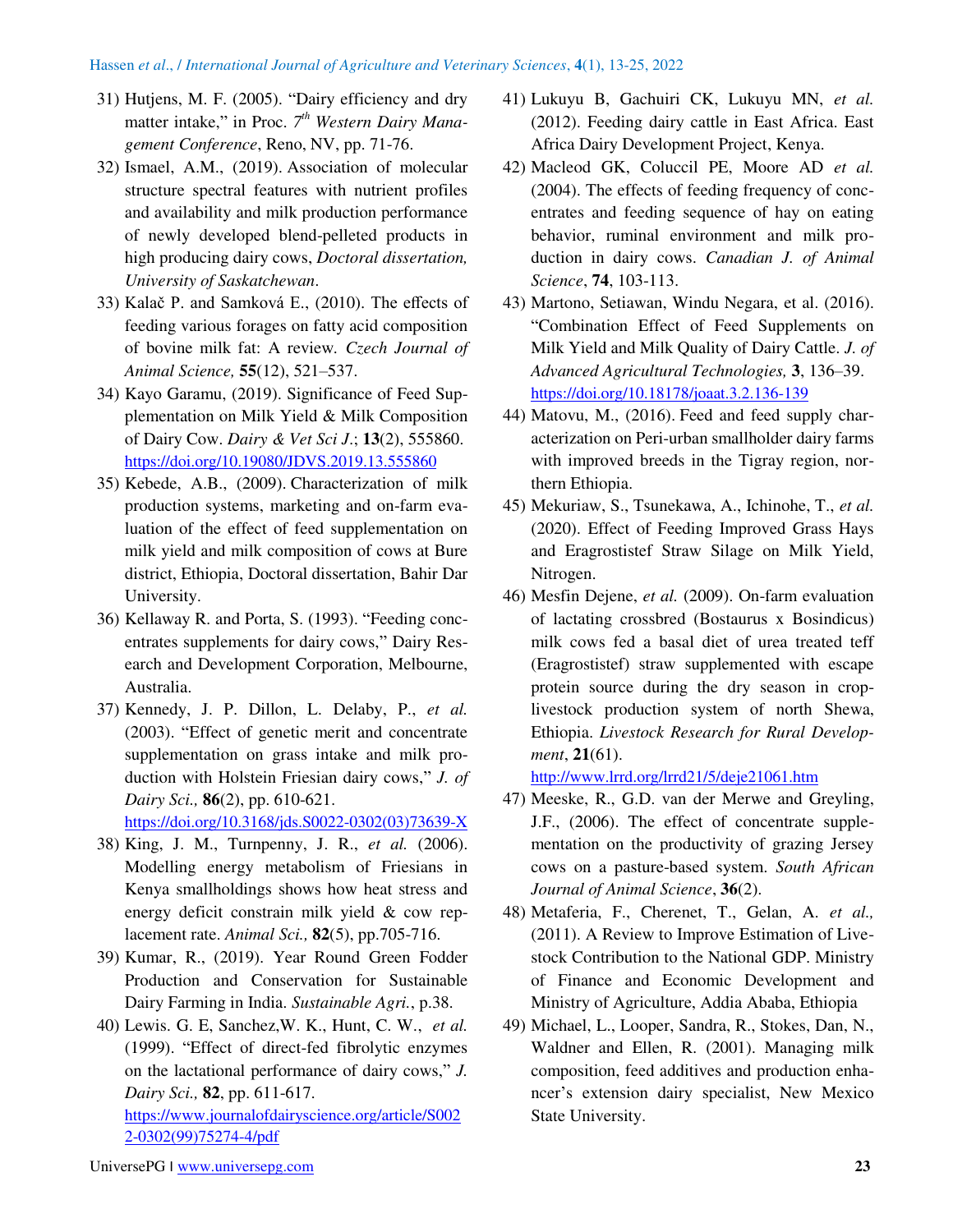- 31) Hutjens, M. F. (2005). "Dairy efficiency and dry matter intake," in Proc. 7<sup>th</sup> Western Dairy Mana*gement Conference*, Reno, NV, pp. 71-76.
- 32) Ismael, A.M., (2019). Association of molecular structure spectral features with nutrient profiles and availability and milk production performance of newly developed blend-pelleted products in high producing dairy cows, *Doctoral dissertation, University of Saskatchewan*.
- 33) Kalač P. and Samková E., (2010). The effects of feeding various forages on fatty acid composition of bovine milk fat: A review*. Czech Journal of Animal Science,* **55**(12), 521–537.
- 34) Kayo Garamu, (2019). Significance of Feed Supplementation on Milk Yield & Milk Composition of Dairy Cow. *Dairy & Vet Sci J*.; **13**(2), 555860. <https://doi.org/10.19080/JDVS.2019.13.555860>
- 35) Kebede, A.B., (2009). Characterization of milk production systems, marketing and on-farm evaluation of the effect of feed supplementation on milk yield and milk composition of cows at Bure district, Ethiopia, Doctoral dissertation, Bahir Dar University.
- 36) Kellaway R. and Porta, S. (1993). "Feeding concentrates supplements for dairy cows," Dairy Research and Development Corporation, Melbourne, Australia.
- 37) Kennedy, J. P. Dillon, L. Delaby, P., *et al.* (2003). "Effect of genetic merit and concentrate supplementation on grass intake and milk production with Holstein Friesian dairy cows," *J. of Dairy Sci.,* **86**(2), pp. 610-621.

[https://doi.org/10.3168/jds.S0022-0302\(03\)73639-X](https://doi.org/10.3168/jds.S0022-0302(03)73639-X) 

- 38) King, J. M., Turnpenny, J. R., *et al.* (2006). Modelling energy metabolism of Friesians in Kenya smallholdings shows how heat stress and energy deficit constrain milk yield & cow replacement rate. *Animal Sci.,* **82**(5), pp.705-716.
- 39) Kumar, R., (2019). Year Round Green Fodder Production and Conservation for Sustainable Dairy Farming in India. *Sustainable Agri.*, p.38.

40) Lewis. G. E, Sanchez,W. K., Hunt, C. W., *et al.* (1999). "Effect of direct-fed fibrolytic enzymes on the lactational performance of dairy cows," *J. Dairy Sci.,* **82**, pp. 611-617.

[https://www.journalofdairyscience.org/article/S002](https://www.journalofdairyscience.org/article/S0022-0302(99)75274-4/pdf) [2-0302\(99\)75274-4/pdf](https://www.journalofdairyscience.org/article/S0022-0302(99)75274-4/pdf) 

- 41) Lukuyu B, Gachuiri CK, Lukuyu MN, *et al.* (2012). Feeding dairy cattle in East Africa. East Africa Dairy Development Project, Kenya.
- 42) Macleod GK, Coluccil PE, Moore AD *et al.* (2004). The effects of feeding frequency of concentrates and feeding sequence of hay on eating behavior, ruminal environment and milk production in dairy cows. *Canadian J. of Animal Science*, **74**, 103-113.
- 43) Martono, Setiawan, Windu Negara, et al. (2016). "Combination Effect of Feed Supplements on Milk Yield and Milk Quality of Dairy Cattle. *J. of Advanced Agricultural Technologies,* **3**, 136–39. <https://doi.org/10.18178/joaat.3.2.136-139>
- 44) Matovu, M., (2016). Feed and feed supply characterization on Peri-urban smallholder dairy farms with improved breeds in the Tigray region, northern Ethiopia.
- 45) Mekuriaw, S., Tsunekawa, A., Ichinohe, T., *et al.* (2020). Effect of Feeding Improved Grass Hays and Eragrostistef Straw Silage on Milk Yield, Nitrogen.
- 46) Mesfin Dejene, *et al.* (2009). On-farm evaluation of lactating crossbred (Bostaurus x Bosindicus) milk cows fed a basal diet of urea treated teff (Eragrostistef) straw supplemented with escape protein source during the dry season in croplivestock production system of north Shewa, Ethiopia. *Livestock Research for Rural Development*, **21**(61).

<http://www.lrrd.org/lrrd21/5/deje21061.htm>

- 47) Meeske, R., G.D. van der Merwe and Greyling, J.F., (2006). The effect of concentrate supplementation on the productivity of grazing Jersey cows on a pasture-based system. *South African Journal of Animal Science*, **36**(2).
- 48) Metaferia, F., Cherenet, T., Gelan, A. *et al.,* (2011). A Review to Improve Estimation of Livestock Contribution to the National GDP. Ministry of Finance and Economic Development and Ministry of Agriculture, Addia Ababa, Ethiopia
- 49) Michael, L., Looper, Sandra, R., Stokes, Dan, N., Waldner and Ellen, R. (2001). Managing milk composition, feed additives and production enhancer's extension dairy specialist, New Mexico State University.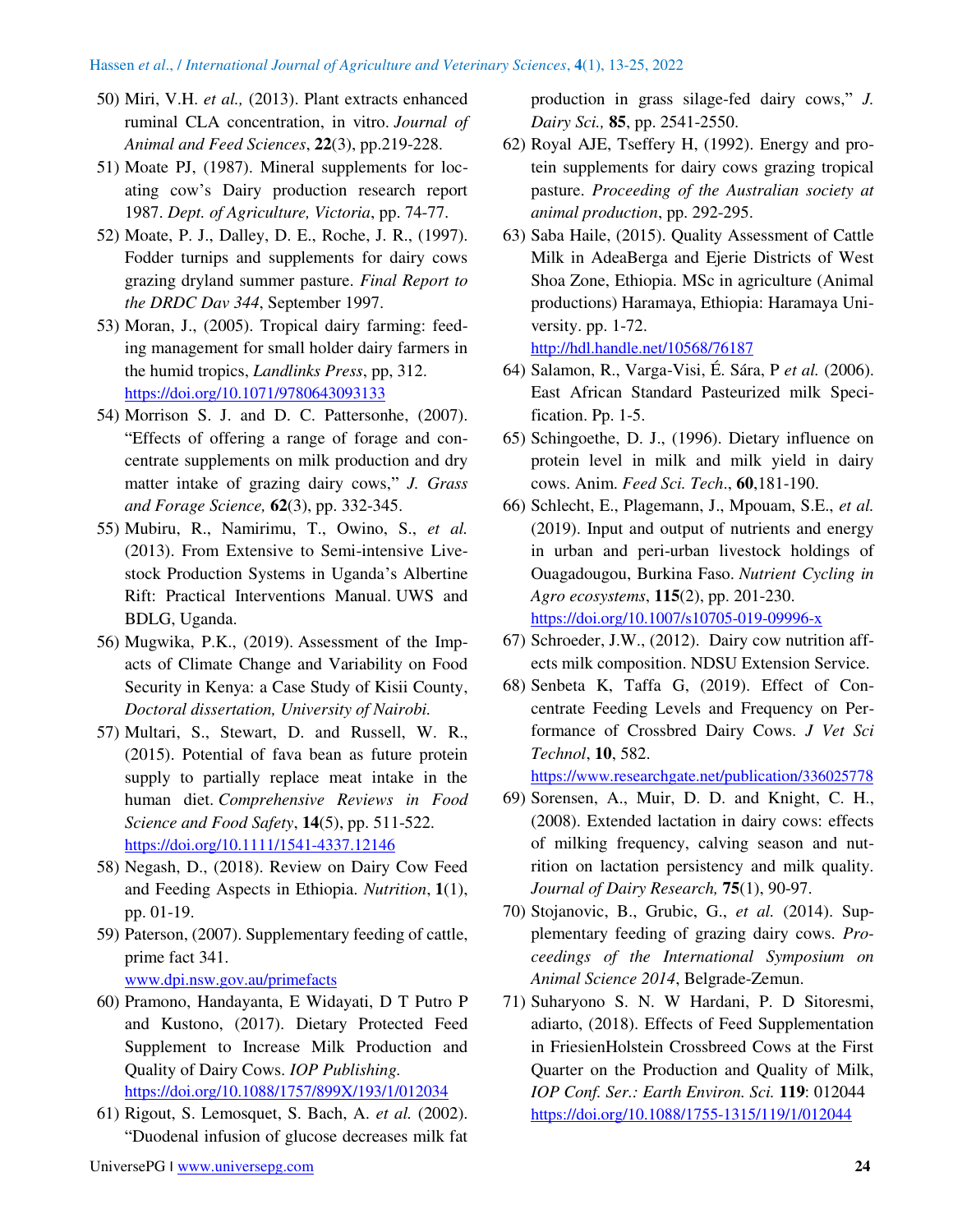- 50) Miri, V.H. *et al.,* (2013). Plant extracts enhanced ruminal CLA concentration, in vitro. *Journal of Animal and Feed Sciences*, **22**(3), pp.219-228.
- 51) Moate PJ, (1987). Mineral supplements for locating cow's Dairy production research report 1987. *Dept. of Agriculture, Victoria*, pp. 74-77.
- 52) Moate, P. J., Dalley, D. E., Roche, J. R., (1997). Fodder turnips and supplements for dairy cows grazing dryland summer pasture. *Final Report to the DRDC Dav 344*, September 1997.
- 53) Moran, J., (2005). Tropical dairy farming: feeding management for small holder dairy farmers in the humid tropics, *Landlinks Press*, pp, 312. <https://doi.org/10.1071/9780643093133>
- 54) Morrison S. J. and D. C. Pattersonhe, (2007). "Effects of offering a range of forage and concentrate supplements on milk production and dry matter intake of grazing dairy cows," *J. Grass and Forage Science,* **62**(3), pp. 332-345.
- 55) Mubiru, R., Namirimu, T., Owino, S., *et al.* (2013). From Extensive to Semi-intensive Livestock Production Systems in Uganda's Albertine Rift: Practical Interventions Manual. UWS and BDLG, Uganda.
- 56) Mugwika, P.K., (2019). Assessment of the Impacts of Climate Change and Variability on Food Security in Kenya: a Case Study of Kisii County, *Doctoral dissertation, University of Nairobi.*
- 57) Multari, S., Stewart, D. and Russell, W. R., (2015). Potential of fava bean as future protein supply to partially replace meat intake in the human diet. *Comprehensive Reviews in Food Science and Food Safety*, **14**(5), pp. 511-522. <https://doi.org/10.1111/1541-4337.12146>
- 58) Negash, D., (2018). Review on Dairy Cow Feed and Feeding Aspects in Ethiopia. *Nutrition*, **1**(1), pp. 01-19.
- 59) Paterson, (2007). Supplementary feeding of cattle, prime fact 341. [www.dpi.nsw.gov.au/primefacts](http://www.dpi.nsw.gov.au/primefacts)
- 60) Pramono, Handayanta, E Widayati, D T Putro P and Kustono, (2017). Dietary Protected Feed Supplement to Increase Milk Production and Quality of Dairy Cows. *IOP Publishing.* <https://doi.org/10.1088/1757/899X/193/1/012034>
- 61) Rigout, S. Lemosquet, S. Bach, A. *et al.* (2002). "Duodenal infusion of glucose decreases milk fat

production in grass silage-fed dairy cows," *J. Dairy Sci.,* **85**, pp. 2541-2550.

- 62) Royal AJE, Tseffery H, (1992). Energy and protein supplements for dairy cows grazing tropical pasture. *Proceeding of the Australian society at animal production*, pp. 292-295.
- 63) Saba Haile, (2015). Quality Assessment of Cattle Milk in AdeaBerga and Ejerie Districts of West Shoa Zone, Ethiopia. MSc in agriculture (Animal productions) Haramaya, Ethiopia: Haramaya University. pp. 1-72. <http://hdl.handle.net/10568/76187>
- 64) Salamon, R., Varga-Visi, É. Sára, P *et al.* (2006). East African Standard Pasteurized milk Specification. Pp. 1-5.
- 65) Schingoethe, D. J., (1996). Dietary influence on protein level in milk and milk yield in dairy cows. Anim. *Feed Sci. Tech*., **60**,181-190.
- 66) Schlecht, E., Plagemann, J., Mpouam, S.E., *et al.* (2019). Input and output of nutrients and energy in urban and peri-urban livestock holdings of Ouagadougou, Burkina Faso. *Nutrient Cycling in Agro ecosystems*, **115**(2), pp. 201-230. <https://doi.org/10.1007/s10705-019-09996-x>
- 67) Schroeder, J.W., (2012). Dairy cow nutrition affects milk composition. NDSU Extension Service.
- 68) Senbeta K, Taffa G, (2019). Effect of Concentrate Feeding Levels and Frequency on Performance of Crossbred Dairy Cows. *J Vet Sci Technol*, **10**, 582.

https://www[.researchgate.net/publication/](https://www.researchgate.net/publication/336025778)336025778

- 69) Sorensen, A., Muir, D. D. and Knight, C. H., (2008). Extended lactation in dairy cows: effects of milking frequency, calving season and nutrition on lactation persistency and milk quality. *Journal of Dairy Research,* **75**(1), 90-97.
- 70) Stojanovic, B., Grubic, G., *et al.* (2014). Supplementary feeding of grazing dairy cows. *Proceedings of the International Symposium on Animal Science 2014*, Belgrade-Zemun.
- 71) Suharyono S. N. W Hardani, P. D Sitoresmi, adiarto, (2018). Effects of Feed Supplementation in FriesienHolstein Crossbreed Cows at the First Quarter on the Production and Quality of Milk, *IOP Conf. Ser.: Earth Environ. Sci.* **119**: 012044 <https://doi.org/10.1088/1755-1315/119/1/012044>